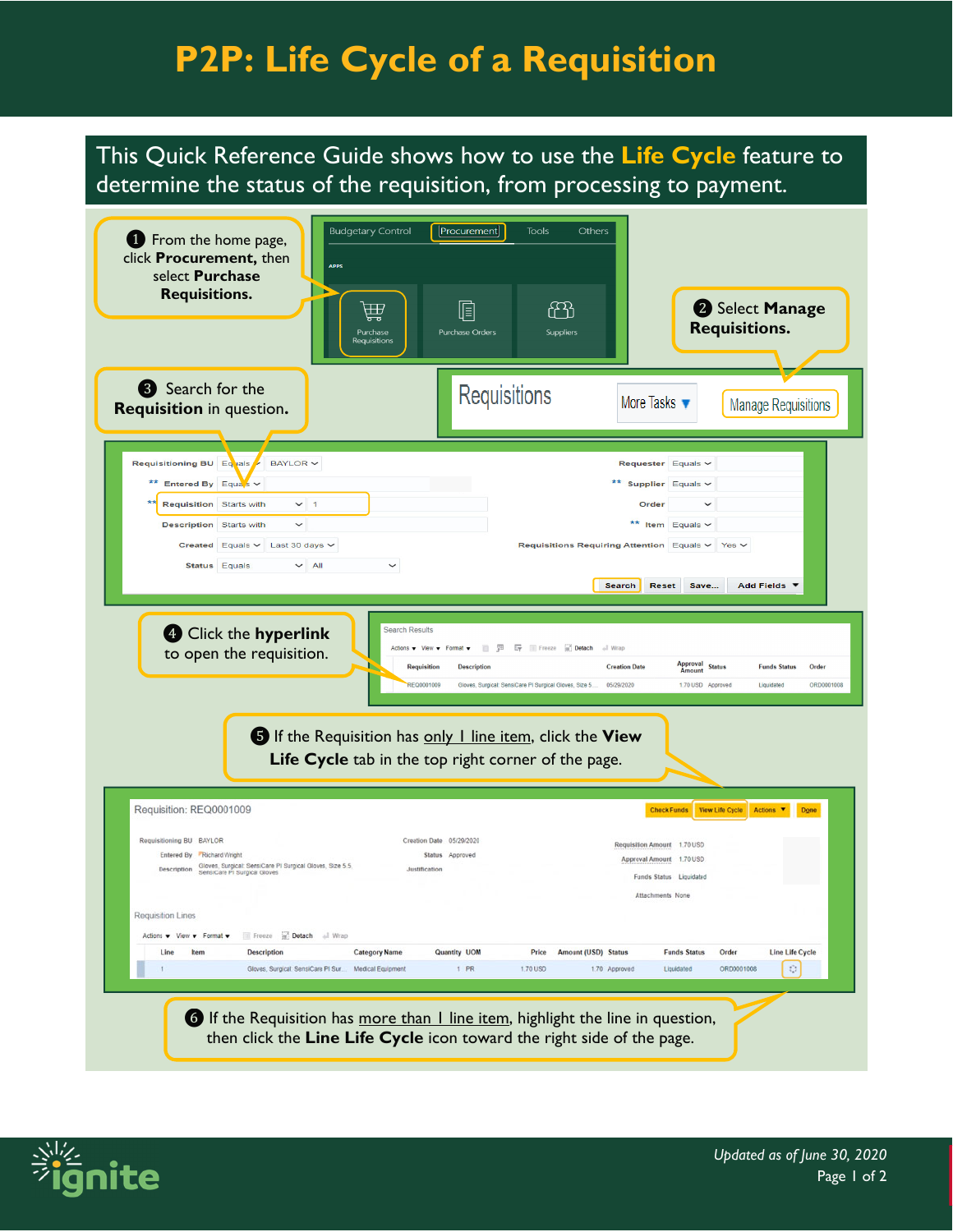## **P2P: Life Cycle of a Requisition**

This Quick Reference Guide shows how to use the **Life Cycle** feature to determine the status of the requisition, from processing to payment.